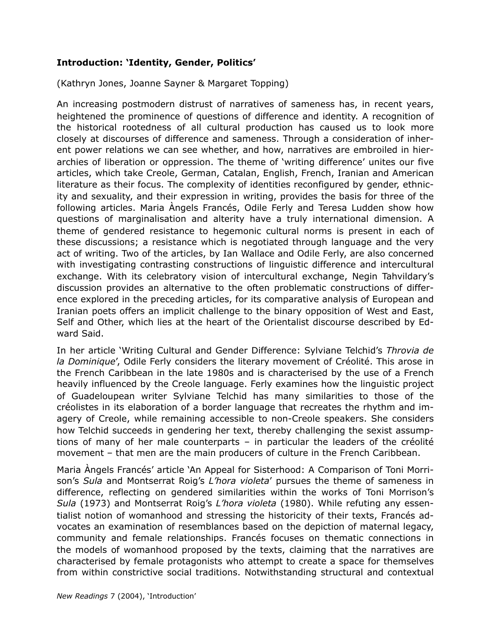## **Introduction: 'Identity, Gender, Politics'**

(Kathryn Jones, Joanne Sayner & Margaret Topping)

An increasing postmodern distrust of narratives of sameness has, in recent years, heightened the prominence of questions of difference and identity. A recognition of the historical rootedness of all cultural production has caused us to look more closely at discourses of difference and sameness. Through a consideration of inherent power relations we can see whether, and how, narratives are embroiled in hierarchies of liberation or oppression. The theme of 'writing difference' unites our five articles, which take Creole, German, Catalan, English, French, Iranian and American literature as their focus. The complexity of identities reconfigured by gender, ethnicity and sexuality, and their expression in writing, provides the basis for three of the following articles. Maria Àngels Francés, Odile Ferly and Teresa Ludden show how questions of marginalisation and alterity have a truly international dimension. A theme of gendered resistance to hegemonic cultural norms is present in each of these discussions; a resistance which is negotiated through language and the very act of writing. Two of the articles, by Ian Wallace and Odile Ferly, are also concerned with investigating contrasting constructions of linguistic difference and intercultural exchange. With its celebratory vision of intercultural exchange, Negin Tahvildary's discussion provides an alternative to the often problematic constructions of difference explored in the preceding articles, for its comparative analysis of European and Iranian poets offers an implicit challenge to the binary opposition of West and East, Self and Other, which lies at the heart of the Orientalist discourse described by Edward Said.

In her article 'Writing Cultural and Gender Difference: Sylviane Telchid's *Throvia de la Dominique*', Odile Ferly considers the literary movement of Créolité. This arose in the French Caribbean in the late 1980s and is characterised by the use of a French heavily influenced by the Creole language. Ferly examines how the linguistic project of Guadeloupean writer Sylviane Telchid has many similarities to those of the créolistes in its elaboration of a border language that recreates the rhythm and imagery of Creole, while remaining accessible to non-Creole speakers. She considers how Telchid succeeds in gendering her text, thereby challenging the sexist assumptions of many of her male counterparts – in particular the leaders of the créolité movement – that men are the main producers of culture in the French Caribbean.

Maria Àngels Francés' article 'An Appeal for Sisterhood: A Comparison of Toni Morrison's *Sula* and Montserrat Roig's *L'hora violeta*' pursues the theme of sameness in difference, reflecting on gendered similarities within the works of Toni Morrison's *Sula* (1973) and Montserrat Roig's *L'hora violeta* (1980). While refuting any essentialist notion of womanhood and stressing the historicity of their texts, Francés advocates an examination of resemblances based on the depiction of maternal legacy, community and female relationships. Francés focuses on thematic connections in the models of womanhood proposed by the texts, claiming that the narratives are characterised by female protagonists who attempt to create a space for themselves from within constrictive social traditions. Notwithstanding structural and contextual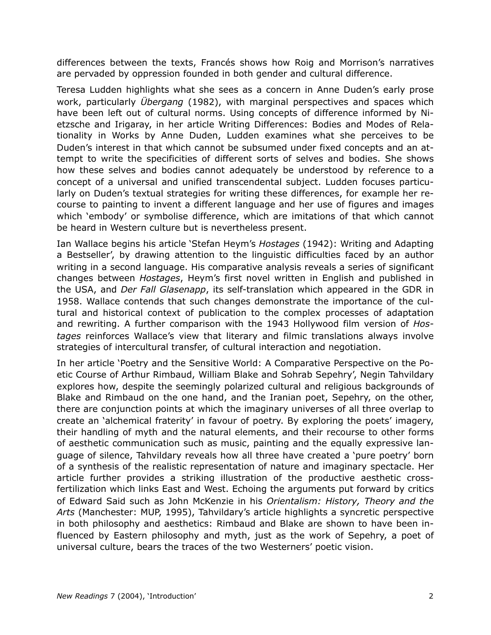differences between the texts, Francés shows how Roig and Morrison's narratives are pervaded by oppression founded in both gender and cultural difference.

Teresa Ludden highlights what she sees as a concern in Anne Duden's early prose work, particularly *Übergang* (1982), with marginal perspectives and spaces which have been left out of cultural norms. Using concepts of difference informed by Nietzsche and Irigaray, in her article Writing Differences: Bodies and Modes of Relationality in Works by Anne Duden, Ludden examines what she perceives to be Duden's interest in that which cannot be subsumed under fixed concepts and an attempt to write the specificities of different sorts of selves and bodies. She shows how these selves and bodies cannot adequately be understood by reference to a concept of a universal and unified transcendental subject. Ludden focuses particularly on Duden's textual strategies for writing these differences, for example her recourse to painting to invent a different language and her use of figures and images which 'embody' or symbolise difference, which are imitations of that which cannot be heard in Western culture but is nevertheless present.

Ian Wallace begins his article 'Stefan Heym's *Hostages* (1942): Writing and Adapting a Bestseller', by drawing attention to the linguistic difficulties faced by an author writing in a second language. His comparative analysis reveals a series of significant changes between *Hostages*, Heym's first novel written in English and published in the USA, and *Der Fall Glasenapp*, its self-translation which appeared in the GDR in 1958. Wallace contends that such changes demonstrate the importance of the cultural and historical context of publication to the complex processes of adaptation and rewriting. A further comparison with the 1943 Hollywood film version of *Hostages* reinforces Wallace's view that literary and filmic translations always involve strategies of intercultural transfer, of cultural interaction and negotiation.

In her article 'Poetry and the Sensitive World: A Comparative Perspective on the Poetic Course of Arthur Rimbaud, William Blake and Sohrab Sepehry', Negin Tahvildary explores how, despite the seemingly polarized cultural and religious backgrounds of Blake and Rimbaud on the one hand, and the Iranian poet, Sepehry, on the other, there are conjunction points at which the imaginary universes of all three overlap to create an 'alchemical fraterity' in favour of poetry. By exploring the poets' imagery, their handling of myth and the natural elements, and their recourse to other forms of aesthetic communication such as music, painting and the equally expressive language of silence, Tahvildary reveals how all three have created a 'pure poetry' born of a synthesis of the realistic representation of nature and imaginary spectacle. Her article further provides a striking illustration of the productive aesthetic crossfertilization which links East and West. Echoing the arguments put forward by critics of Edward Said such as John McKenzie in his *Orientalism: History, Theory and the Arts* (Manchester: MUP, 1995), Tahvildary's article highlights a syncretic perspective in both philosophy and aesthetics: Rimbaud and Blake are shown to have been influenced by Eastern philosophy and myth, just as the work of Sepehry, a poet of universal culture, bears the traces of the two Westerners' poetic vision.